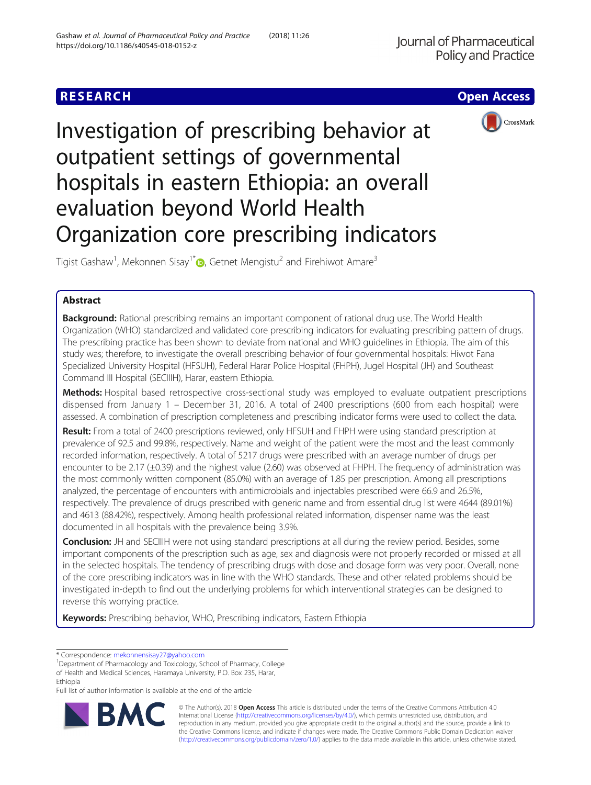# **RESEARCH CHE Open Access**





Investigation of prescribing behavior at outpatient settings of governmental hospitals in eastern Ethiopia: an overall evaluation beyond World Health Organization core prescribing indicators

Tigist Gashaw<sup>1</sup>, Mekonnen Sisay<sup>1[\\*](http://orcid.org/0000-0001-6611-1174)</sup> $\bm{\odot}$ , Getnet Mengistu<sup>2</sup> and Firehiwot Amare<sup>3</sup>

## Abstract

Background: Rational prescribing remains an important component of rational drug use. The World Health Organization (WHO) standardized and validated core prescribing indicators for evaluating prescribing pattern of drugs. The prescribing practice has been shown to deviate from national and WHO guidelines in Ethiopia. The aim of this study was; therefore, to investigate the overall prescribing behavior of four governmental hospitals: Hiwot Fana Specialized University Hospital (HFSUH), Federal Harar Police Hospital (FHPH), Jugel Hospital (JH) and Southeast Command III Hospital (SECIIIH), Harar, eastern Ethiopia.

Methods: Hospital based retrospective cross-sectional study was employed to evaluate outpatient prescriptions dispensed from January 1 – December 31, 2016. A total of 2400 prescriptions (600 from each hospital) were assessed. A combination of prescription completeness and prescribing indicator forms were used to collect the data.

Result: From a total of 2400 prescriptions reviewed, only HFSUH and FHPH were using standard prescription at prevalence of 92.5 and 99.8%, respectively. Name and weight of the patient were the most and the least commonly recorded information, respectively. A total of 5217 drugs were prescribed with an average number of drugs per encounter to be 2.17 (±0.39) and the highest value (2.60) was observed at FHPH. The frequency of administration was the most commonly written component (85.0%) with an average of 1.85 per prescription. Among all prescriptions analyzed, the percentage of encounters with antimicrobials and injectables prescribed were 66.9 and 26.5%, respectively. The prevalence of drugs prescribed with generic name and from essential drug list were 4644 (89.01%) and 4613 (88.42%), respectively. Among health professional related information, dispenser name was the least documented in all hospitals with the prevalence being 3.9%.

Conclusion: JH and SECIIIH were not using standard prescriptions at all during the review period. Besides, some important components of the prescription such as age, sex and diagnosis were not properly recorded or missed at all in the selected hospitals. The tendency of prescribing drugs with dose and dosage form was very poor. Overall, none of the core prescribing indicators was in line with the WHO standards. These and other related problems should be investigated in-depth to find out the underlying problems for which interventional strategies can be designed to reverse this worrying practice.

Keywords: Prescribing behavior, WHO, Prescribing indicators, Eastern Ethiopia

Full list of author information is available at the end of the article



© The Author(s). 2018 Open Access This article is distributed under the terms of the Creative Commons Attribution 4.0 International License [\(http://creativecommons.org/licenses/by/4.0/](http://creativecommons.org/licenses/by/4.0/)), which permits unrestricted use, distribution, and reproduction in any medium, provided you give appropriate credit to the original author(s) and the source, provide a link to the Creative Commons license, and indicate if changes were made. The Creative Commons Public Domain Dedication waiver [\(http://creativecommons.org/publicdomain/zero/1.0/](http://creativecommons.org/publicdomain/zero/1.0/)) applies to the data made available in this article, unless otherwise stated.

<sup>\*</sup> Correspondence: [mekonnensisay27@yahoo.com](mailto:mekonnensisay27@yahoo.com) <sup>1</sup>

<sup>&</sup>lt;sup>1</sup>Department of Pharmacology and Toxicology, School of Pharmacy, College of Health and Medical Sciences, Haramaya University, P.O. Box 235, Harar, Ethiopia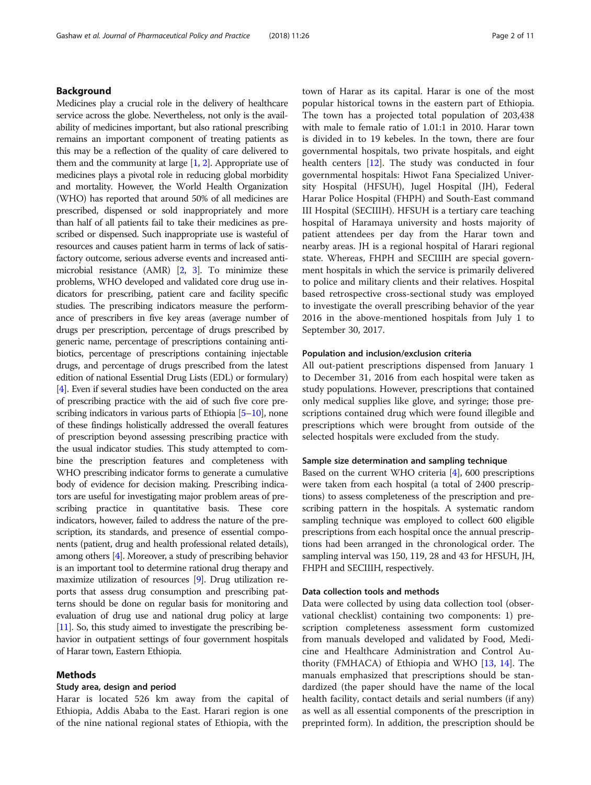### Background

Medicines play a crucial role in the delivery of healthcare service across the globe. Nevertheless, not only is the availability of medicines important, but also rational prescribing remains an important component of treating patients as this may be a reflection of the quality of care delivered to them and the community at large  $[1, 2]$  $[1, 2]$  $[1, 2]$  $[1, 2]$ . Appropriate use of medicines plays a pivotal role in reducing global morbidity and mortality. However, the World Health Organization (WHO) has reported that around 50% of all medicines are prescribed, dispensed or sold inappropriately and more than half of all patients fail to take their medicines as prescribed or dispensed. Such inappropriate use is wasteful of resources and causes patient harm in terms of lack of satisfactory outcome, serious adverse events and increased antimicrobial resistance (AMR) [\[2,](#page-9-0) [3\]](#page-9-0). To minimize these problems, WHO developed and validated core drug use indicators for prescribing, patient care and facility specific studies. The prescribing indicators measure the performance of prescribers in five key areas (average number of drugs per prescription, percentage of drugs prescribed by generic name, percentage of prescriptions containing antibiotics, percentage of prescriptions containing injectable drugs, and percentage of drugs prescribed from the latest edition of national Essential Drug Lists (EDL) or formulary) [[4](#page-9-0)]. Even if several studies have been conducted on the area of prescribing practice with the aid of such five core prescribing indicators in various parts of Ethiopia [\[5](#page-9-0)–[10](#page-9-0)], none of these findings holistically addressed the overall features of prescription beyond assessing prescribing practice with the usual indicator studies. This study attempted to combine the prescription features and completeness with WHO prescribing indicator forms to generate a cumulative body of evidence for decision making. Prescribing indicators are useful for investigating major problem areas of prescribing practice in quantitative basis. These core indicators, however, failed to address the nature of the prescription, its standards, and presence of essential components (patient, drug and health professional related details), among others [\[4\]](#page-9-0). Moreover, a study of prescribing behavior is an important tool to determine rational drug therapy and maximize utilization of resources [\[9\]](#page-9-0). Drug utilization reports that assess drug consumption and prescribing patterns should be done on regular basis for monitoring and evaluation of drug use and national drug policy at large [[11](#page-9-0)]. So, this study aimed to investigate the prescribing behavior in outpatient settings of four government hospitals of Harar town, Eastern Ethiopia.

### Methods

#### Study area, design and period

Harar is located 526 km away from the capital of Ethiopia, Addis Ababa to the East. Harari region is one of the nine national regional states of Ethiopia, with the town of Harar as its capital. Harar is one of the most popular historical towns in the eastern part of Ethiopia. The town has a projected total population of 203,438 with male to female ratio of 1.01:1 in 2010. Harar town is divided in to 19 kebeles. In the town, there are four governmental hospitals, two private hospitals, and eight health centers [\[12](#page-9-0)]. The study was conducted in four governmental hospitals: Hiwot Fana Specialized University Hospital (HFSUH), Jugel Hospital (JH), Federal Harar Police Hospital (FHPH) and South-East command III Hospital (SECIIIH). HFSUH is a tertiary care teaching hospital of Haramaya university and hosts majority of patient attendees per day from the Harar town and nearby areas. JH is a regional hospital of Harari regional state. Whereas, FHPH and SECIIIH are special government hospitals in which the service is primarily delivered to police and military clients and their relatives. Hospital based retrospective cross-sectional study was employed to investigate the overall prescribing behavior of the year 2016 in the above-mentioned hospitals from July 1 to September 30, 2017.

#### Population and inclusion/exclusion criteria

All out-patient prescriptions dispensed from January 1 to December 31, 2016 from each hospital were taken as study populations. However, prescriptions that contained only medical supplies like glove, and syringe; those prescriptions contained drug which were found illegible and prescriptions which were brought from outside of the selected hospitals were excluded from the study.

### Sample size determination and sampling technique

Based on the current WHO criteria [[4\]](#page-9-0), 600 prescriptions were taken from each hospital (a total of 2400 prescriptions) to assess completeness of the prescription and prescribing pattern in the hospitals. A systematic random sampling technique was employed to collect 600 eligible prescriptions from each hospital once the annual prescriptions had been arranged in the chronological order. The sampling interval was 150, 119, 28 and 43 for HFSUH, JH, FHPH and SECIIIH, respectively.

### Data collection tools and methods

Data were collected by using data collection tool (observational checklist) containing two components: 1) prescription completeness assessment form customized from manuals developed and validated by Food, Medicine and Healthcare Administration and Control Authority (FMHACA) of Ethiopia and WHO [\[13,](#page-9-0) [14](#page-9-0)]. The manuals emphasized that prescriptions should be standardized (the paper should have the name of the local health facility, contact details and serial numbers (if any) as well as all essential components of the prescription in preprinted form). In addition, the prescription should be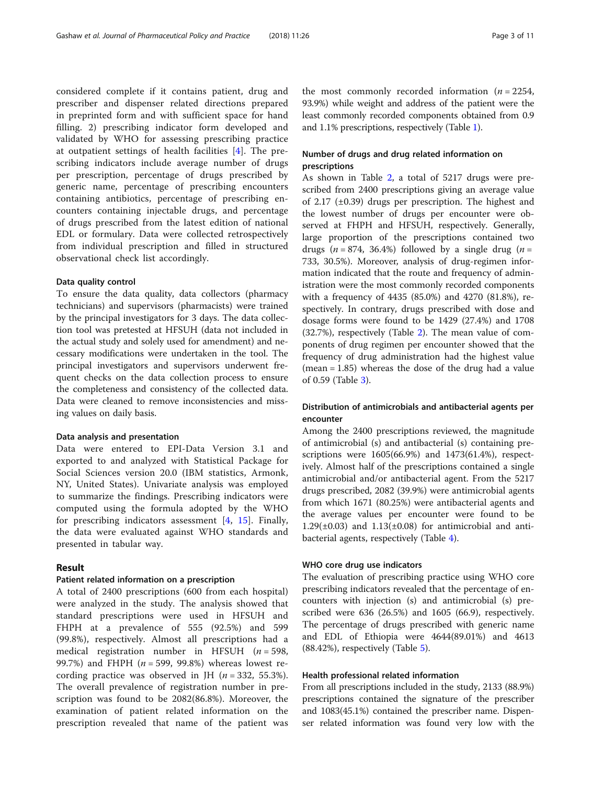considered complete if it contains patient, drug and prescriber and dispenser related directions prepared in preprinted form and with sufficient space for hand filling. 2) prescribing indicator form developed and validated by WHO for assessing prescribing practice at outpatient settings of health facilities [\[4](#page-9-0)]. The prescribing indicators include average number of drugs per prescription, percentage of drugs prescribed by generic name, percentage of prescribing encounters containing antibiotics, percentage of prescribing encounters containing injectable drugs, and percentage of drugs prescribed from the latest edition of national EDL or formulary. Data were collected retrospectively from individual prescription and filled in structured observational check list accordingly.

#### Data quality control

To ensure the data quality, data collectors (pharmacy technicians) and supervisors (pharmacists) were trained by the principal investigators for 3 days. The data collection tool was pretested at HFSUH (data not included in the actual study and solely used for amendment) and necessary modifications were undertaken in the tool. The principal investigators and supervisors underwent frequent checks on the data collection process to ensure the completeness and consistency of the collected data. Data were cleaned to remove inconsistencies and missing values on daily basis.

#### Data analysis and presentation

Data were entered to EPI-Data Version 3.1 and exported to and analyzed with Statistical Package for Social Sciences version 20.0 (IBM statistics, Armonk, NY, United States). Univariate analysis was employed to summarize the findings. Prescribing indicators were computed using the formula adopted by the WHO for prescribing indicators assessment  $[4, 15]$  $[4, 15]$  $[4, 15]$ . Finally, the data were evaluated against WHO standards and presented in tabular way.

### Result

#### Patient related information on a prescription

A total of 2400 prescriptions (600 from each hospital) were analyzed in the study. The analysis showed that standard prescriptions were used in HFSUH and FHPH at a prevalence of 555 (92.5%) and 599 (99.8%), respectively. Almost all prescriptions had a medical registration number in HFSUH ( $n = 598$ , 99.7%) and FHPH  $(n = 599, 99.8%)$  whereas lowest recording practice was observed in JH  $(n = 332, 55.3\%).$ The overall prevalence of registration number in prescription was found to be 2082(86.8%). Moreover, the examination of patient related information on the prescription revealed that name of the patient was

the most commonly recorded information  $(n = 2254,$ 93.9%) while weight and address of the patient were the least commonly recorded components obtained from 0.9 and 1.1% prescriptions, respectively (Table [1](#page-3-0)).

### Number of drugs and drug related information on prescriptions

As shown in Table [2](#page-3-0), a total of 5217 drugs were prescribed from 2400 prescriptions giving an average value of 2.17 (±0.39) drugs per prescription. The highest and the lowest number of drugs per encounter were observed at FHPH and HFSUH, respectively. Generally, large proportion of the prescriptions contained two drugs ( $n = 874$ , 36.4%) followed by a single drug ( $n =$ 733, 30.5%). Moreover, analysis of drug-regimen information indicated that the route and frequency of administration were the most commonly recorded components with a frequency of 4435 (85.0%) and 4270 (81.8%), respectively. In contrary, drugs prescribed with dose and dosage forms were found to be 1429 (27.4%) and 1708 (32.7%), respectively (Table [2\)](#page-3-0). The mean value of components of drug regimen per encounter showed that the frequency of drug administration had the highest value (mean = 1.85) whereas the dose of the drug had a value of 0.59 (Table [3\)](#page-4-0).

### Distribution of antimicrobials and antibacterial agents per encounter

Among the 2400 prescriptions reviewed, the magnitude of antimicrobial (s) and antibacterial (s) containing prescriptions were 1605(66.9%) and 1473(61.4%), respectively. Almost half of the prescriptions contained a single antimicrobial and/or antibacterial agent. From the 5217 drugs prescribed, 2082 (39.9%) were antimicrobial agents from which 1671 (80.25%) were antibacterial agents and the average values per encounter were found to be  $1.29(\pm 0.03)$  and  $1.13(\pm 0.08)$  for antimicrobial and antibacterial agents, respectively (Table [4](#page-4-0)).

### WHO core drug use indicators

The evaluation of prescribing practice using WHO core prescribing indicators revealed that the percentage of encounters with injection (s) and antimicrobial (s) prescribed were 636 (26.5%) and 1605 (66.9), respectively. The percentage of drugs prescribed with generic name and EDL of Ethiopia were 4644(89.01%) and 4613 (88.42%), respectively (Table [5](#page-5-0)).

### Health professional related information

From all prescriptions included in the study, 2133 (88.9%) prescriptions contained the signature of the prescriber and 1083(45.1%) contained the prescriber name. Dispenser related information was found very low with the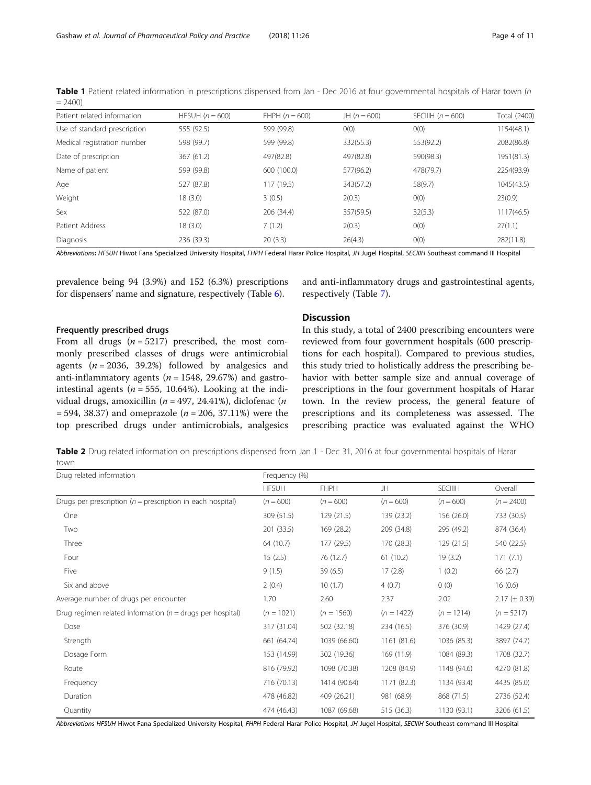| Patient related information  | HFSUH $(n = 600)$ | FHPH $(n = 600)$ | JH $(n = 600)$ | SECIIIH $(n = 600)$ | Total (2400) |
|------------------------------|-------------------|------------------|----------------|---------------------|--------------|
| Use of standard prescription | 555 (92.5)        | 599 (99.8)       | O(0)           | O(0)                | 1154(48.1)   |
| Medical registration number  | 598 (99.7)        | 599 (99.8)       | 332(55.3)      | 553(92.2)           | 2082(86.8)   |
| Date of prescription         | 367 (61.2)        | 497(82.8)        | 497(82.8)      | 590(98.3)           | 1951(81.3)   |
| Name of patient              | 599 (99.8)        | 600 (100.0)      | 577(96.2)      | 478(79.7)           | 2254(93.9)   |
| Age                          | 527 (87.8)        | 117 (19.5)       | 343(57.2)      | 58(9.7)             | 1045(43.5)   |
| Weight                       | 18 (3.0)          | 3(0.5)           | 2(0.3)         | O(0)                | 23(0.9)      |
| Sex                          | 522 (87.0)        | 206 (34.4)       | 357(59.5)      | 32(5.3)             | 1117(46.5)   |
| Patient Address              | 18 (3.0)          | 7(1.2)           | 2(0.3)         | O(0)                | 27(1.1)      |
| Diagnosis                    | 236 (39.3)        | 20(3.3)          | 26(4.3)        | O(0)                | 282(11.8)    |

<span id="page-3-0"></span>Table 1 Patient related information in prescriptions dispensed from Jan - Dec 2016 at four governmental hospitals of Harar town (n  $= 2400$ 

Abbreviations: HFSUH Hiwot Fana Specialized University Hospital, FHPH Federal Harar Police Hospital, JH Jugel Hospital, SECIIIH Southeast command III Hospital

prevalence being 94 (3.9%) and 152 (6.3%) prescriptions for dispensers' name and signature, respectively (Table [6](#page-5-0)).

### Frequently prescribed drugs

From all drugs  $(n = 5217)$  prescribed, the most commonly prescribed classes of drugs were antimicrobial agents  $(n = 2036, 39.2%)$  followed by analgesics and anti-inflammatory agents ( $n = 1548$ , 29.67%) and gastrointestinal agents ( $n = 555$ , 10.64%). Looking at the individual drugs, amoxicillin ( $n = 497, 24.41\%$ ), diclofenac (n  $= 594, 38.37$  and omeprazole (*n* = 206, 37.11%) were the top prescribed drugs under antimicrobials, analgesics and anti-inflammatory drugs and gastrointestinal agents, respectively (Table [7](#page-6-0)).

### Discussion

In this study, a total of 2400 prescribing encounters were reviewed from four government hospitals (600 prescriptions for each hospital). Compared to previous studies, this study tried to holistically address the prescribing behavior with better sample size and annual coverage of prescriptions in the four government hospitals of Harar town. In the review process, the general feature of prescriptions and its completeness was assessed. The prescribing practice was evaluated against the WHO

Table 2 Drug related information on prescriptions dispensed from Jan 1 - Dec 31, 2016 at four governmental hospitals of Harar town

| Drug related information                                      | Frequency (%) |              |              |                |                   |
|---------------------------------------------------------------|---------------|--------------|--------------|----------------|-------------------|
|                                                               | <b>HFSUH</b>  | <b>FHPH</b>  | JH           | <b>SECIIIH</b> | Overall           |
| Drugs per prescription ( $n =$ prescription in each hospital) | $(n = 600)$   | $(n = 600)$  | $(n = 600)$  | $(n = 600)$    | $(n = 2400)$      |
| One                                                           | 309 (51.5)    | 129 (21.5)   | 139 (23.2)   | 156 (26.0)     | 733 (30.5)        |
| Two                                                           | 201 (33.5)    | 169 (28.2)   | 209 (34.8)   | 295 (49.2)     | 874 (36.4)        |
| Three                                                         | 64 (10.7)     | 177 (29.5)   | 170 (28.3)   | 129(21.5)      | 540 (22.5)        |
| Four                                                          | 15(2.5)       | 76 (12.7)    | 61(10.2)     | 19(3.2)        | 171(7.1)          |
| Five                                                          | 9(1.5)        | 39(6.5)      | 17(2.8)      | 1(0.2)         | 66 (2.7)          |
| Six and above                                                 | 2(0.4)        | 10(1.7)      | 4(0.7)       | 0(0)           | 16(0.6)           |
| Average number of drugs per encounter                         | 1.70          | 2.60         | 2.37         | 2.02           | $2.17 (\pm 0.39)$ |
| Drug regimen related information ( $n =$ drugs per hospital)  | $(n = 1021)$  | $(n = 1560)$ | $(n = 1422)$ | $(n = 1214)$   | $(n = 5217)$      |
| Dose                                                          | 317 (31.04)   | 502 (32.18)  | 234 (16.5)   | 376 (30.9)     | 1429 (27.4)       |
| Strength                                                      | 661 (64.74)   | 1039 (66.60) | 1161 (81.6)  | 1036 (85.3)    | 3897 (74.7)       |
| Dosage Form                                                   | 153 (14.99)   | 302 (19.36)  | 169 (11.9)   | 1084 (89.3)    | 1708 (32.7)       |
| Route                                                         | 816 (79.92)   | 1098 (70.38) | 1208 (84.9)  | 1148 (94.6)    | 4270 (81.8)       |
| Frequency                                                     | 716 (70.13)   | 1414 (90.64) | 1171 (82.3)  | 1134 (93.4)    | 4435 (85.0)       |
| Duration                                                      | 478 (46.82)   | 409 (26.21)  | 981 (68.9)   | 868 (71.5)     | 2736 (52.4)       |
| Quantity                                                      | 474 (46.43)   | 1087 (69.68) | 515 (36.3)   | 1130 (93.1)    | 3206 (61.5)       |

Abbreviations HFSUH Hiwot Fana Specialized University Hospital, FHPH Federal Harar Police Hospital, JH Jugel Hospital, SECIIIH Southeast command III Hospital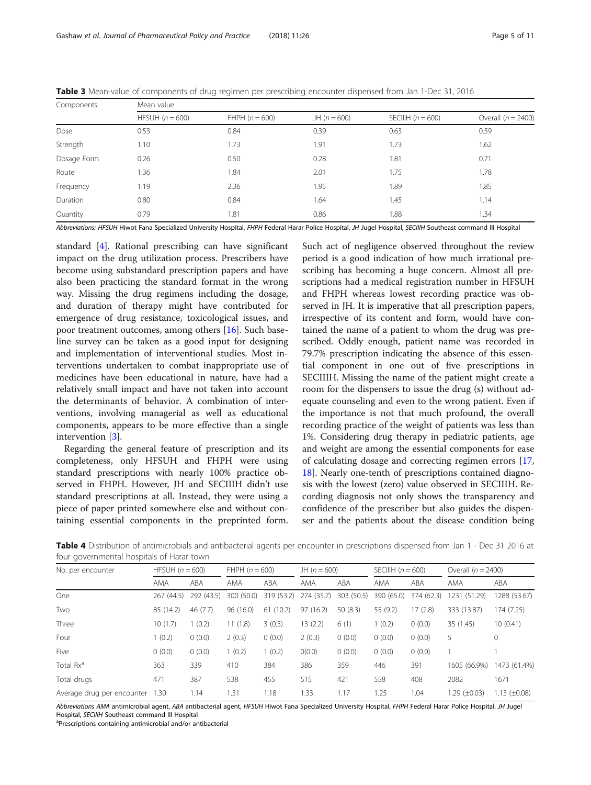| Components  | Mean value        |                  |                |                     |                      |
|-------------|-------------------|------------------|----------------|---------------------|----------------------|
|             | HFSUH $(n = 600)$ | FHPH $(n = 600)$ | JH $(n = 600)$ | SECIIIH $(n = 600)$ | Overall $(n = 2400)$ |
| Dose        | 0.53              | 0.84             | 0.39           | 0.63                | 0.59                 |
| Strength    | 1.10              | 1.73             | 1.91           | 1.73                | 1.62                 |
| Dosage Form | 0.26              | 0.50             | 0.28           | 1.81                | 0.71                 |
| Route       | 1.36              | 1.84             | 2.01           | 1.75                | 1.78                 |
| Frequency   | 1.19              | 2.36             | 1.95           | 1.89                | 1.85                 |
| Duration    | 0.80              | 0.84             | .64            | 1.45                | 1.14                 |
| Quantity    | 0.79              | 1.81             | 0.86           | 1.88                | 1.34                 |

<span id="page-4-0"></span>Table 3 Mean-value of components of drug regimen per prescribing encounter dispensed from Jan 1-Dec 31, 2016

Abbreviations: HFSUH Hiwot Fana Specialized University Hospital, FHPH Federal Harar Police Hospital, JH Jugel Hospital, SECIIIH Southeast command III Hospital

standard [\[4](#page-9-0)]. Rational prescribing can have significant impact on the drug utilization process. Prescribers have become using substandard prescription papers and have also been practicing the standard format in the wrong way. Missing the drug regimens including the dosage, and duration of therapy might have contributed for emergence of drug resistance, toxicological issues, and poor treatment outcomes, among others [\[16](#page-9-0)]. Such baseline survey can be taken as a good input for designing and implementation of interventional studies. Most interventions undertaken to combat inappropriate use of medicines have been educational in nature, have had a relatively small impact and have not taken into account the determinants of behavior. A combination of interventions, involving managerial as well as educational components, appears to be more effective than a single intervention [[3\]](#page-9-0).

Regarding the general feature of prescription and its completeness, only HFSUH and FHPH were using standard prescriptions with nearly 100% practice observed in FHPH. However, JH and SECIIIH didn't use standard prescriptions at all. Instead, they were using a piece of paper printed somewhere else and without containing essential components in the preprinted form.

Such act of negligence observed throughout the review period is a good indication of how much irrational prescribing has becoming a huge concern. Almost all prescriptions had a medical registration number in HFSUH and FHPH whereas lowest recording practice was observed in JH. It is imperative that all prescription papers, irrespective of its content and form, would have contained the name of a patient to whom the drug was prescribed. Oddly enough, patient name was recorded in 79.7% prescription indicating the absence of this essential component in one out of five prescriptions in SECIIIH. Missing the name of the patient might create a room for the dispensers to issue the drug (s) without adequate counseling and even to the wrong patient. Even if the importance is not that much profound, the overall recording practice of the weight of patients was less than 1%. Considering drug therapy in pediatric patients, age and weight are among the essential components for ease of calculating dosage and correcting regimen errors [[17](#page-9-0), [18\]](#page-9-0). Nearly one-tenth of prescriptions contained diagnosis with the lowest (zero) value observed in SECIIIH. Recording diagnosis not only shows the transparency and confidence of the prescriber but also guides the dispenser and the patients about the disease condition being

Table 4 Distribution of antimicrobials and antibacterial agents per encounter in prescriptions dispensed from Jan 1 - Dec 31 2016 at four governmental hospitals of Harar town

| No. per encounter          | HFSUH $(n = 600)$ |            | FHPH $(n = 600)$ |            | JH $(n = 600)$ |            | SECIIIH $(n = 600)$ |            | Overall $(n = 2400)$ |                   |
|----------------------------|-------------------|------------|------------------|------------|----------------|------------|---------------------|------------|----------------------|-------------------|
|                            | AMA               | ABA        | AMA              | ABA        | AMA            | ABA        | AMA                 | ABA        | AMA                  | ABA               |
| One                        | 267 (44.5)        | 292 (43.5) | 300 (50.0)       | 319 (53.2) | 274 (35.7)     | 303 (50.5) | 390 (65.0)          | 374 (62.3) | 1231<br>(51.29)      | 1288 (53.67)      |
| Two                        | 85 (14.2)         | 46(7.7)    | 96(16.0)         | 61(10.2)   | 97 (16.2)      | 50(8.3)    | 55 (9.2)            | 17(2.8)    | 333 (13.87)          | 174 (7.25)        |
| Three                      | 10(1.7)           | 1(0.2)     | 11(1.8)          | 3(0.5)     | 13 (2.2)       | 6(1)       | 1(0.2)              | 0(0.0)     | 35 (1.45)            | 10(0.41)          |
| Four                       | (0.2)             | 0(0.0)     | 2(0.3)           | 0(0.0)     | 2(0.3)         | 0(0.0)     | 0(0.0)              | 0(0.0)     | 5                    | $\circ$           |
| Five                       | 0(0.0)            | 0(0.0)     | 1(0.2)           | 1(0.2)     | O(0.0)         | 0(0.0)     | 0(0.0)              | 0(0.0)     |                      |                   |
| Total Rx <sup>a</sup>      | 363               | 339        | 410              | 384        | 386            | 359        | 446                 | 391        | 1605 (66.9%)         | 1473 (61.4%)      |
| Total drugs                | 471               | 387        | 538              | 455        | 515            | 421        | 558                 | 408        | 2082                 | 1671              |
| Average drug per encounter | 1.30              | 1.14       | 1.31             | 1.18       | 1.33           | 1.17       | 1.25                | 1.04       | $1.29 \ (\pm 0.03)$  | 1.13 $(\pm 0.08)$ |

Abbreviations AMA antimicrobial agent, ABA antibacterial agent, HFSUH Hiwot Fana Specialized University Hospital, FHPH Federal Harar Police Hospital, JH Jugel Hospital, SECIIIH Southeast command III Hospital

Prescriptions containing antimicrobial and/or antibacterial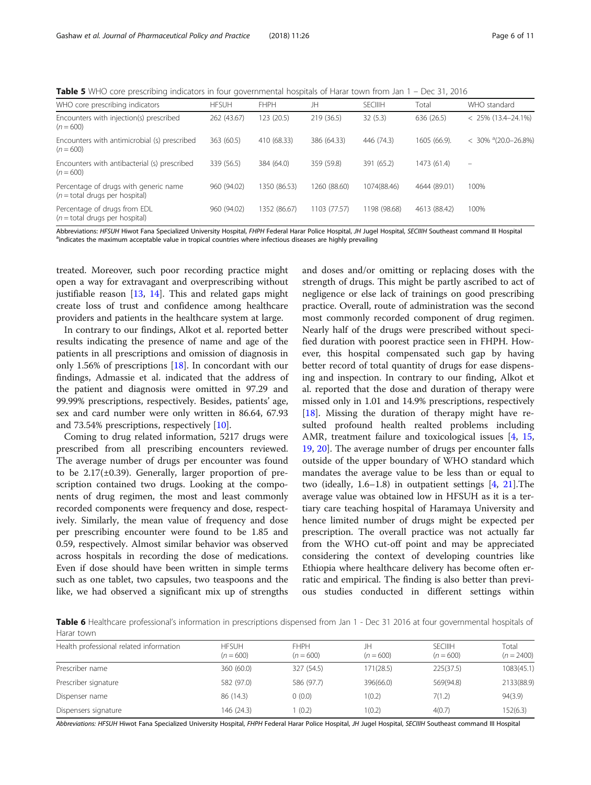<span id="page-5-0"></span>Table 5 WHO core prescribing indicators in four governmental hospitals of Harar town from Jan 1 – Dec 31, 2016

| WHO core prescribing indicators                                            | <b>HFSUH</b> | <b>FHPH</b>  | JH           | <b>SECIIIH</b> | Total        | WHO standard                    |
|----------------------------------------------------------------------------|--------------|--------------|--------------|----------------|--------------|---------------------------------|
| Encounters with injection(s) prescribed<br>$(n = 600)$                     | 262 (43.67)  | 123 (20.5)   | 219 (36.5)   | 32(5.3)        | 636 (26.5)   | $< 25\% (13.4 - 24.1\%)$        |
| Encounters with antimicrobial (s) prescribed<br>$(n = 600)$                | 363 (60.5)   | 410 (68.33)  | 386 (64.33)  | 446 (74.3)     | 1605 (66.9). | $<$ 30% $^{\circ}$ (20.0-26.8%) |
| Encounters with antibacterial (s) prescribed<br>$(n = 600)$                | 339 (56.5)   | 384 (64.0)   | 359 (59.8)   | 391 (65.2)     | 1473 (61.4)  | $\qquad \qquad -$               |
| Percentage of drugs with generic name<br>$(n = total)$ drugs per hospital) | 960 (94.02)  | 1350 (86.53) | 1260 (88.60) | 1074(88.46)    | 4644 (89.01) | 100%                            |
| Percentage of drugs from EDL<br>$(n = total$ drugs per hospital)           | 960 (94.02)  | 1352 (86.67) | 1103 (77.57) | 1198 (98.68)   | 4613 (88.42) | 100%                            |

Abbreviations: HFSUH Hiwot Fana Specialized University Hospital, FHPH Federal Harar Police Hospital, JH Jugel Hospital, SECIIIH Southeast command III Hospital <sup>a</sup>indicates the maximum acceptable value in tropical countries where infectious diseases are highly prevailing

treated. Moreover, such poor recording practice might open a way for extravagant and overprescribing without justifiable reason  $[13, 14]$  $[13, 14]$  $[13, 14]$  $[13, 14]$ . This and related gaps might create loss of trust and confidence among healthcare providers and patients in the healthcare system at large.

In contrary to our findings, Alkot et al. reported better results indicating the presence of name and age of the patients in all prescriptions and omission of diagnosis in only 1.56% of prescriptions [\[18](#page-9-0)]. In concordant with our findings, Admassie et al. indicated that the address of the patient and diagnosis were omitted in 97.29 and 99.99% prescriptions, respectively. Besides, patients' age, sex and card number were only written in 86.64, 67.93 and 73.54% prescriptions, respectively [\[10\]](#page-9-0).

Coming to drug related information, 5217 drugs were prescribed from all prescribing encounters reviewed. The average number of drugs per encounter was found to be 2.17(±0.39). Generally, larger proportion of prescription contained two drugs. Looking at the components of drug regimen, the most and least commonly recorded components were frequency and dose, respectively. Similarly, the mean value of frequency and dose per prescribing encounter were found to be 1.85 and 0.59, respectively. Almost similar behavior was observed across hospitals in recording the dose of medications. Even if dose should have been written in simple terms such as one tablet, two capsules, two teaspoons and the like, we had observed a significant mix up of strengths and doses and/or omitting or replacing doses with the strength of drugs. This might be partly ascribed to act of negligence or else lack of trainings on good prescribing practice. Overall, route of administration was the second most commonly recorded component of drug regimen. Nearly half of the drugs were prescribed without specified duration with poorest practice seen in FHPH. However, this hospital compensated such gap by having better record of total quantity of drugs for ease dispensing and inspection. In contrary to our finding, Alkot et al. reported that the dose and duration of therapy were missed only in 1.01 and 14.9% prescriptions, respectively [[18\]](#page-9-0). Missing the duration of therapy might have resulted profound health realted problems including AMR, treatment failure and toxicological issues [\[4](#page-9-0), [15](#page-9-0), [19,](#page-9-0) [20](#page-9-0)]. The average number of drugs per encounter falls outside of the upper boundary of WHO standard which mandates the average value to be less than or equal to two (ideally, 1.6–1.8) in outpatient settings [[4,](#page-9-0) [21](#page-9-0)].The average value was obtained low in HFSUH as it is a tertiary care teaching hospital of Haramaya University and hence limited number of drugs might be expected per prescription. The overall practice was not actually far from the WHO cut-off point and may be appreciated considering the context of developing countries like Ethiopia where healthcare delivery has become often erratic and empirical. The finding is also better than previous studies conducted in different settings within

Table 6 Healthcare professional's information in prescriptions dispensed from Jan 1 - Dec 31 2016 at four governmental hospitals of Harar town

| Health professional related information | <b>HESUH</b><br>$(n = 600)$ | <b>FHPH</b><br>$(n = 600)$ | JH<br>$(n = 600)$ | <b>SECIIIH</b><br>$(n = 600)$ | Total<br>$(n = 2400)$ |
|-----------------------------------------|-----------------------------|----------------------------|-------------------|-------------------------------|-----------------------|
| Prescriber name                         | 360 (60.0)                  | 327 (54.5)                 | 171(28.5)         | 225(37.5)                     | 1083(45.1)            |
| Prescriber signature                    | 582 (97.0)                  | 586 (97.7)                 | 396(66.0)         | 569(94.8)                     | 2133(88.9)            |
| Dispenser name                          | 86 (14.3)                   | 0(0.0)                     | 1(0.2)            | 7(1.2)                        | 94(3.9)               |
| Dispensers signature                    | 146 (24.3)                  | (0.2)                      | 1(0.2)            | 4(0.7)                        | 152(6.3)              |

Abbreviations: HFSUH Hiwot Fana Specialized University Hospital, FHPH Federal Harar Police Hospital, JH Jugel Hospital, SECIIIH Southeast command III Hospital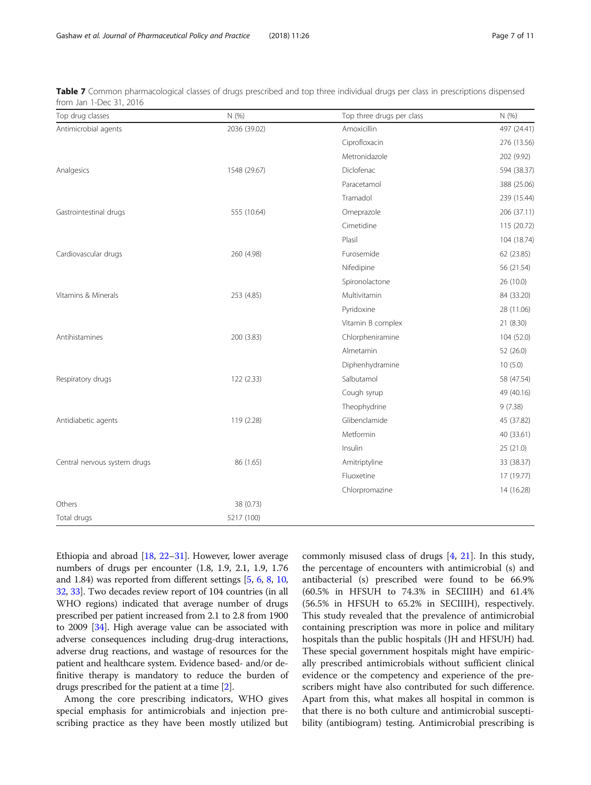| Top drug classes             | N (%)        | Top three drugs per class | N (%)       |
|------------------------------|--------------|---------------------------|-------------|
| Antimicrobial agents         | 2036 (39.02) | Amoxicillin               | 497 (24.41) |
|                              |              | Ciprofloxacin             | 276 (13.56) |
|                              |              | Metronidazole             | 202 (9.92)  |
| Analgesics                   | 1548 (29.67) | Diclofenac                | 594 (38.37) |
|                              |              | Paracetamol               | 388 (25.06) |
|                              |              | Tramadol                  | 239 (15.44) |
| Gastrointestinal drugs       | 555 (10.64)  | Omeprazole                | 206 (37.11) |
|                              |              | Cimetidine                | 115 (20.72) |
|                              |              | Plasil                    | 104 (18.74) |
| Cardiovascular drugs         | 260 (4.98)   | Furosemide                | 62 (23.85)  |
|                              |              | Nifedipine                | 56 (21.54)  |
|                              |              | Spironolactone            | 26 (10.0)   |
| Vitamins & Minerals          | 253 (4.85)   | Multivitamin              | 84 (33.20)  |
|                              |              | Pyridoxine                | 28 (11.06)  |
|                              |              | Vitamin B complex         | 21 (8.30)   |
| Antihistamines               | 200 (3.83)   | Chlorpheniramine          | 104 (52.0)  |
|                              |              | Almetamin                 | 52 (26.0)   |
|                              |              | Diphenhydramine           | 10(5.0)     |
| Respiratory drugs            | 122 (2.33)   | Salbutamol                | 58 (47.54)  |
|                              |              | Cough syrup               | 49 (40.16)  |
|                              |              | Theophydrine              | 9(7.38)     |
| Antidiabetic agents          | 119 (2.28)   | Glibenclamide             | 45 (37.82)  |
|                              |              | Metformin                 | 40 (33.61)  |
|                              |              | Insulin                   | 25(21.0)    |
| Central nervous system drugs | 86 (1.65)    | Amitriptyline             | 33 (38.37)  |
|                              |              | Fluoxetine                | 17 (19.77)  |
|                              |              | Chlorpromazine            | 14 (16.28)  |
| Others                       | 38 (0.73)    |                           |             |
| Total drugs                  | 5217 (100)   |                           |             |

<span id="page-6-0"></span>Table 7 Common pharmacological classes of drugs prescribed and top three individual drugs per class in prescriptions dispensed from Jan 1-Dec 31, 2016

Ethiopia and abroad  $[18, 22-31]$  $[18, 22-31]$  $[18, 22-31]$  $[18, 22-31]$  $[18, 22-31]$ . However, lower average numbers of drugs per encounter (1.8, 1.9, 2.1, 1.9, 1.76 and 1.84) was reported from different settings [[5,](#page-9-0) [6,](#page-9-0) [8,](#page-9-0) [10](#page-9-0), [32](#page-9-0), [33\]](#page-9-0). Two decades review report of 104 countries (in all WHO regions) indicated that average number of drugs prescribed per patient increased from 2.1 to 2.8 from 1900 to 2009 [\[34\]](#page-9-0). High average value can be associated with adverse consequences including drug-drug interactions, adverse drug reactions, and wastage of resources for the patient and healthcare system. Evidence based- and/or definitive therapy is mandatory to reduce the burden of drugs prescribed for the patient at a time [\[2\]](#page-9-0).

Among the core prescribing indicators, WHO gives special emphasis for antimicrobials and injection prescribing practice as they have been mostly utilized but commonly misused class of drugs [\[4](#page-9-0), [21](#page-9-0)]. In this study, the percentage of encounters with antimicrobial (s) and antibacterial (s) prescribed were found to be 66.9% (60.5% in HFSUH to 74.3% in SECIIIH) and 61.4% (56.5% in HFSUH to 65.2% in SECIIIH), respectively. This study revealed that the prevalence of antimicrobial containing prescription was more in police and military hospitals than the public hospitals (JH and HFSUH) had. These special government hospitals might have empirically prescribed antimicrobials without sufficient clinical evidence or the competency and experience of the prescribers might have also contributed for such difference. Apart from this, what makes all hospital in common is that there is no both culture and antimicrobial susceptibility (antibiogram) testing. Antimicrobial prescribing is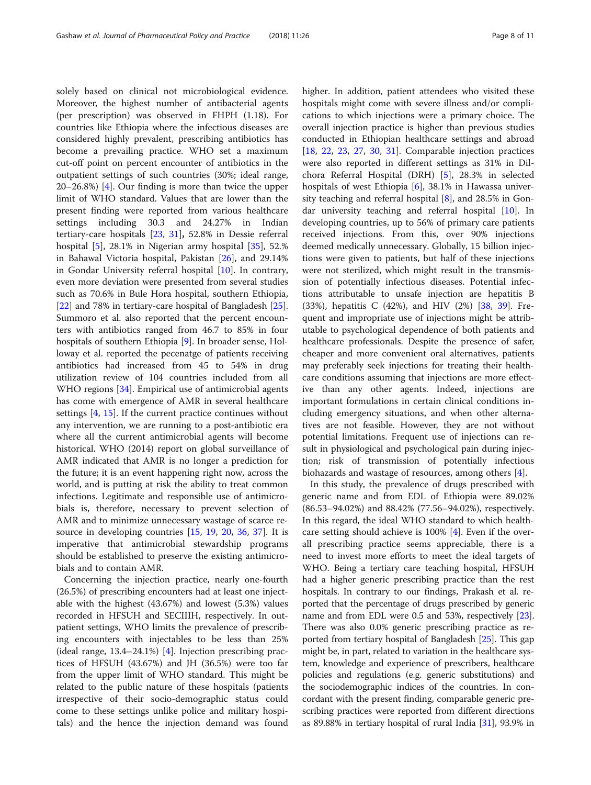solely based on clinical not microbiological evidence. Moreover, the highest number of antibacterial agents (per prescription) was observed in FHPH (1.18). For countries like Ethiopia where the infectious diseases are considered highly prevalent, prescribing antibiotics has become a prevailing practice. WHO set a maximum cut-off point on percent encounter of antibiotics in the outpatient settings of such countries (30%; ideal range, 20–26.8%) [[4\]](#page-9-0). Our finding is more than twice the upper limit of WHO standard. Values that are lower than the present finding were reported from various healthcare settings including 30.3 and 24.27% in Indian tertiary-care hospitals [\[23](#page-9-0), [31](#page-9-0)], 52.8% in Dessie referral hospital [[5\]](#page-9-0), 28.1% in Nigerian army hospital [[35](#page-9-0)], 52.% in Bahawal Victoria hospital, Pakistan [\[26](#page-9-0)], and 29.14% in Gondar University referral hospital [\[10](#page-9-0)]. In contrary, even more deviation were presented from several studies such as 70.6% in Bule Hora hospital, southern Ethiopia, [[22\]](#page-9-0) and 78% in tertiary-care hospital of Bangladesh [\[25](#page-9-0)]. Summoro et al. also reported that the percent encounters with antibiotics ranged from 46.7 to 85% in four hospitals of southern Ethiopia [[9](#page-9-0)]. In broader sense, Holloway et al. reported the pecenatge of patients receiving antibiotics had increased from 45 to 54% in drug utilization review of 104 countries included from all WHO regions [\[34](#page-9-0)]. Empirical use of antimicrobial agents has come with emergence of AMR in several healthcare settings [[4,](#page-9-0) [15\]](#page-9-0). If the current practice continues without any intervention, we are running to a post-antibiotic era where all the current antimicrobial agents will become historical. WHO (2014) report on global surveillance of AMR indicated that AMR is no longer a prediction for the future; it is an event happening right now, across the world, and is putting at risk the ability to treat common infections. Legitimate and responsible use of antimicrobials is, therefore, necessary to prevent selection of AMR and to minimize unnecessary wastage of scarce resource in developing countries [[15,](#page-9-0) [19](#page-9-0), [20](#page-9-0), [36,](#page-10-0) [37\]](#page-10-0). It is imperative that antimicrobial stewardship programs should be established to preserve the existing antimicrobials and to contain AMR.

Concerning the injection practice, nearly one-fourth (26.5%) of prescribing encounters had at least one injectable with the highest (43.67%) and lowest (5.3%) values recorded in HFSUH and SECIIIH, respectively. In outpatient settings, WHO limits the prevalence of prescribing encounters with injectables to be less than 25% (ideal range, 13.4–24.1%) [[4\]](#page-9-0). Injection prescribing practices of HFSUH (43.67%) and JH (36.5%) were too far from the upper limit of WHO standard. This might be related to the public nature of these hospitals (patients irrespective of their socio-demographic status could come to these settings unlike police and military hospitals) and the hence the injection demand was found higher. In addition, patient attendees who visited these hospitals might come with severe illness and/or complications to which injections were a primary choice. The overall injection practice is higher than previous studies conducted in Ethiopian healthcare settings and abroad [[18,](#page-9-0) [22,](#page-9-0) [23](#page-9-0), [27,](#page-9-0) [30,](#page-9-0) [31](#page-9-0)]. Comparable injection practices were also reported in different settings as 31% in Dilchora Referral Hospital (DRH) [\[5](#page-9-0)], 28.3% in selected hospitals of west Ethiopia [[6\]](#page-9-0), 38.1% in Hawassa university teaching and referral hospital [\[8](#page-9-0)], and 28.5% in Gondar university teaching and referral hospital [[10](#page-9-0)]. In developing countries, up to 56% of primary care patients received injections. From this, over 90% injections deemed medically unnecessary. Globally, 15 billion injections were given to patients, but half of these injections were not sterilized, which might result in the transmission of potentially infectious diseases. Potential infections attributable to unsafe injection are hepatitis B (33%), hepatitis C (42%), and HIV (2%) [[38,](#page-10-0) [39\]](#page-10-0). Frequent and impropriate use of injections might be attributable to psychological dependence of both patients and healthcare professionals. Despite the presence of safer, cheaper and more convenient oral alternatives, patients may preferably seek injections for treating their healthcare conditions assuming that injections are more effective than any other agents. Indeed, injections are important formulations in certain clinical conditions including emergency situations, and when other alternatives are not feasible. However, they are not without potential limitations. Frequent use of injections can result in physiological and psychological pain during injection; risk of transmission of potentially infectious biohazards and wastage of resources, among others [\[4](#page-9-0)].

In this study, the prevalence of drugs prescribed with generic name and from EDL of Ethiopia were 89.02% (86.53–94.02%) and 88.42% (77.56–94.02%), respectively. In this regard, the ideal WHO standard to which healthcare setting should achieve is 100% [\[4](#page-9-0)]. Even if the overall prescribing practice seems appreciable, there is a need to invest more efforts to meet the ideal targets of WHO. Being a tertiary care teaching hospital, HFSUH had a higher generic prescribing practice than the rest hospitals. In contrary to our findings, Prakash et al. reported that the percentage of drugs prescribed by generic name and from EDL were 0.5 and 53%, respectively [[23](#page-9-0)]. There was also 0.0% generic prescribing practice as reported from tertiary hospital of Bangladesh [[25](#page-9-0)]. This gap might be, in part, related to variation in the healthcare system, knowledge and experience of prescribers, healthcare policies and regulations (e.g. generic substitutions) and the sociodemographic indices of the countries. In concordant with the present finding, comparable generic prescribing practices were reported from different directions as 89.88% in tertiary hospital of rural India [\[31\]](#page-9-0), 93.9% in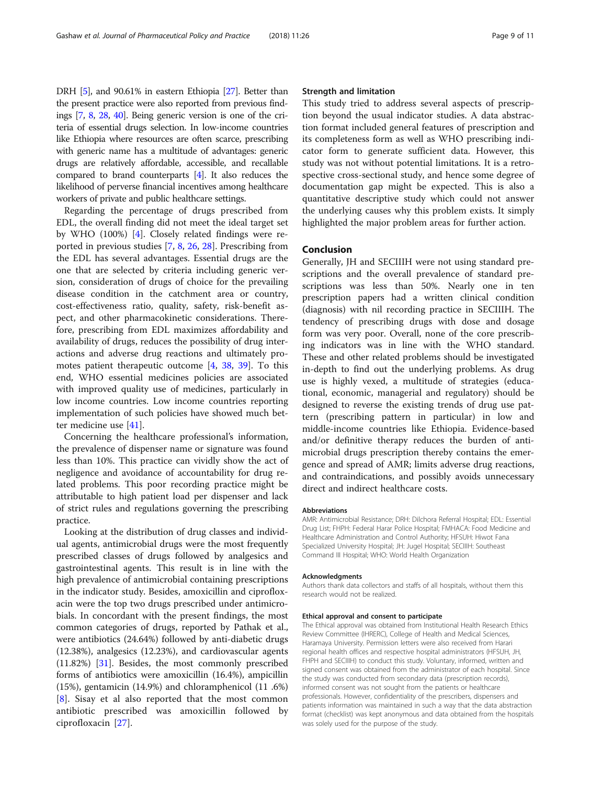DRH [\[5](#page-9-0)], and 90.61% in eastern Ethiopia [[27](#page-9-0)]. Better than the present practice were also reported from previous findings [\[7,](#page-9-0) [8](#page-9-0), [28](#page-9-0), [40](#page-10-0)]. Being generic version is one of the criteria of essential drugs selection. In low-income countries like Ethiopia where resources are often scarce, prescribing with generic name has a multitude of advantages: generic drugs are relatively affordable, accessible, and recallable compared to brand counterparts [\[4\]](#page-9-0). It also reduces the likelihood of perverse financial incentives among healthcare workers of private and public healthcare settings.

Regarding the percentage of drugs prescribed from EDL, the overall finding did not meet the ideal target set by WHO (100%) [\[4](#page-9-0)]. Closely related findings were reported in previous studies [\[7](#page-9-0), [8,](#page-9-0) [26,](#page-9-0) [28\]](#page-9-0). Prescribing from the EDL has several advantages. Essential drugs are the one that are selected by criteria including generic version, consideration of drugs of choice for the prevailing disease condition in the catchment area or country, cost-effectiveness ratio, quality, safety, risk-benefit aspect, and other pharmacokinetic considerations. Therefore, prescribing from EDL maximizes affordability and availability of drugs, reduces the possibility of drug interactions and adverse drug reactions and ultimately promotes patient therapeutic outcome [\[4](#page-9-0), [38,](#page-10-0) [39\]](#page-10-0). To this end, WHO essential medicines policies are associated with improved quality use of medicines, particularly in low income countries. Low income countries reporting implementation of such policies have showed much better medicine use [[41](#page-10-0)].

Concerning the healthcare professional's information, the prevalence of dispenser name or signature was found less than 10%. This practice can vividly show the act of negligence and avoidance of accountability for drug related problems. This poor recording practice might be attributable to high patient load per dispenser and lack of strict rules and regulations governing the prescribing practice.

Looking at the distribution of drug classes and individual agents, antimicrobial drugs were the most frequently prescribed classes of drugs followed by analgesics and gastrointestinal agents. This result is in line with the high prevalence of antimicrobial containing prescriptions in the indicator study. Besides, amoxicillin and ciprofloxacin were the top two drugs prescribed under antimicrobials. In concordant with the present findings, the most common categories of drugs, reported by Pathak et al., were antibiotics (24.64%) followed by anti-diabetic drugs (12.38%), analgesics (12.23%), and cardiovascular agents (11.82%) [[31\]](#page-9-0). Besides, the most commonly prescribed forms of antibiotics were amoxicillin (16.4%), ampicillin (15%), gentamicin (14.9%) and chloramphenicol (11 .6%) [[8\]](#page-9-0). Sisay et al also reported that the most common antibiotic prescribed was amoxicillin followed by ciprofloxacin [\[27](#page-9-0)].

### Strength and limitation

This study tried to address several aspects of prescription beyond the usual indicator studies. A data abstraction format included general features of prescription and its completeness form as well as WHO prescribing indicator form to generate sufficient data. However, this study was not without potential limitations. It is a retrospective cross-sectional study, and hence some degree of documentation gap might be expected. This is also a quantitative descriptive study which could not answer the underlying causes why this problem exists. It simply highlighted the major problem areas for further action.

### Conclusion

Generally, JH and SECIIIH were not using standard prescriptions and the overall prevalence of standard prescriptions was less than 50%. Nearly one in ten prescription papers had a written clinical condition (diagnosis) with nil recording practice in SECIIIH. The tendency of prescribing drugs with dose and dosage form was very poor. Overall, none of the core prescribing indicators was in line with the WHO standard. These and other related problems should be investigated in-depth to find out the underlying problems. As drug use is highly vexed, a multitude of strategies (educational, economic, managerial and regulatory) should be designed to reverse the existing trends of drug use pattern (prescribing pattern in particular) in low and middle-income countries like Ethiopia. Evidence-based and/or definitive therapy reduces the burden of antimicrobial drugs prescription thereby contains the emergence and spread of AMR; limits adverse drug reactions, and contraindications, and possibly avoids unnecessary direct and indirect healthcare costs.

#### Abbreviations

AMR: Antimicrobial Resistance; DRH: Dilchora Referral Hospital; EDL: Essential Drug List; FHPH: Federal Harar Police Hospital; FMHACA: Food Medicine and Healthcare Administration and Control Authority; HFSUH: Hiwot Fana Specialized University Hospital; JH: Jugel Hospital; SECIIIH: Southeast Command III Hospital; WHO: World Health Organization

#### Acknowledgments

Authors thank data collectors and staffs of all hospitals, without them this research would not be realized.

#### Ethical approval and consent to participate

The Ethical approval was obtained from Institutional Health Research Ethics Review Committee (IHRERC), College of Health and Medical Sciences, Haramaya University. Permission letters were also received from Harari regional health offices and respective hospital administrators (HFSUH, JH, FHPH and SECIIIH) to conduct this study. Voluntary, informed, written and signed consent was obtained from the administrator of each hospital. Since the study was conducted from secondary data (prescription records), informed consent was not sought from the patients or healthcare professionals. However, confidentiality of the prescribers, dispensers and patients information was maintained in such a way that the data abstraction format (checklist) was kept anonymous and data obtained from the hospitals was solely used for the purpose of the study.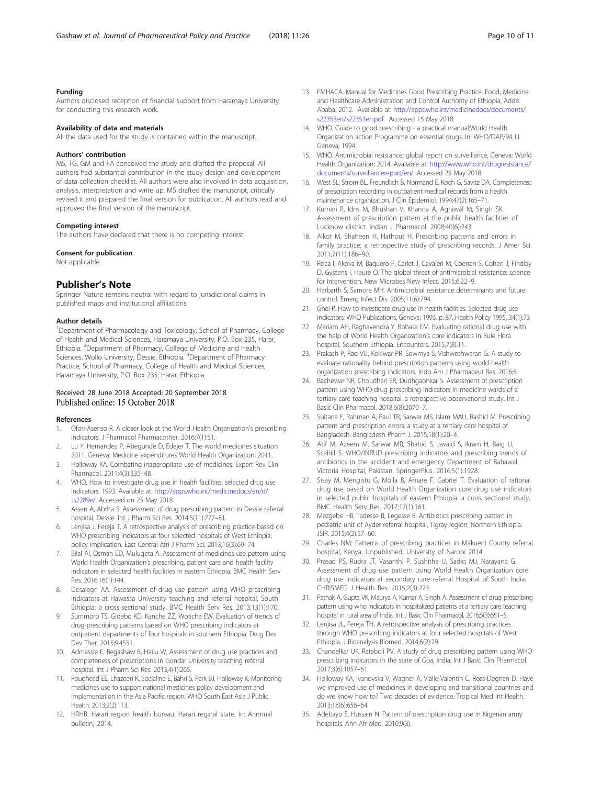### <span id="page-9-0"></span>Funding

Authors disclosed reception of financial support from Haramaya University for conducting this research work.

#### Availability of data and materials

All the data used for the study is contained within the manuscript.

#### Authors' contribution

MS, TG, GM and FA conceived the study and drafted the proposal. All authors had substantial contribution in the study design and development of data collection checklist. All authors were also involved in data acquisition, analysis, interpretation and write up. MS drafted the manuscript, critically revised it and prepared the final version for publication. All authors read and approved the final version of the manuscript.

#### Competing interest

The authors have declared that there is no competing interest.

#### Consent for publication

Not applicable.

#### Publisher's Note

Springer Nature remains neutral with regard to jurisdictional claims in published maps and institutional affiliations.

#### Author details

<sup>1</sup>Department of Pharmacology and Toxicology, School of Pharmacy, College of Health and Medical Sciences, Haramaya University, P.O. Box 235, Harar, Ethiopia. <sup>2</sup>Department of Pharmacy, College of Medicine and Health Sciences, Wollo University, Dessie, Ethiopia. <sup>3</sup>Department of Pharmacy Practice, School of Pharmacy, College of Health and Medical Sciences, Haramaya University, P.O. Box 235, Harar, Ethiopia.

### Received: 28 June 2018 Accepted: 20 September 2018 Published online: 15 October 2018

#### References

- 1. Ofori-Asenso R. A closer look at the World Health Organization's prescribing indicators. J Pharmacol Pharmacother. 2016;7(1):51.
- 2. Lu Y, Hernandez P, Abegunde D, Edejer T. The world medicines situation 2011. Geneva: Medicine expenditures World Health Organization; 2011.
- 3. Holloway KA. Combating inappropriate use of medicines. Expert Rev Clin Pharmacol. 2011;4(3):335–48.
- 4. WHO. How to investigate drug use in health facilities: selected drug use indicators. 1993. Available at: [http://apps.who.int/medicinedocs/en/d/](http://apps.who.int/medicinedocs/en/d/Js2289e/) [Js2289e/](http://apps.who.int/medicinedocs/en/d/Js2289e/). Accessed on 25 May 2018
- Assen A, Abrha S. Assessment of drug prescribing pattern in Dessie referral hospital, Dessie. Int J Pharm Sci Res. 2014;5(11):777–81.
- 6. Lenjisa J, Fereja T. A retrospective analysis of prescribing practice based on WHO prescribing indicators at four selected hospitals of West Ethiopia: policy implication. East Central Afri J Pharm Sci. 2013;16(3):69–74.
- 7. Bilal AI, Osman ED, Mulugeta A. Assessment of medicines use pattern using World Health Organization's prescribing, patient care and health facility indicators in selected health facilities in eastern Ethiopia. BMC Health Serv Res. 2016;16(1):144.
- 8. Desalegn AA. Assessment of drug use pattern using WHO prescribing indicators at Hawassa University teaching and referral hospital, South Ethiopia: a cross-sectional study. BMC Health Serv Res. 2013;13(1):170.
- Summoro TS, Gidebo KD, Kanche ZZ, Woticha EW. Evaluation of trends of drug-prescribing patterns based on WHO prescribing indicators at outpatient departments of four hospitals in southern Ethiopia. Drug Des Dev Ther. 2015;9:4551.
- 10. Admassie E, Begashaw B, Hailu W. Assessment of drug use practices and completeness of prescriptions in Gondar University teaching referral hospital. Int J Pharm Sci Res. 2013;4(1):265.
- 11. Roughead EE, Lhazeen K, Socialine E, Bahri S, Park BJ, Holloway K. Monitoring medicines use to support national medicines policy development and implementation in the Asia Pacific region. WHO South East Asia J Public Health. 2013;2(2):113.
- 12. HRHB. Harari region health bureau. Harari reginal state. In: Annnual bulletin; 2014.
- 13. FMHACA. Manual for Medicines Good Prescribing Practice. Food, Medicine and Healthcare Administration and Control Authority of Ethiopia, Addis Ababa. 2012. Available at: [http://apps.who.int/medicinedocs/documents/](http://apps.who.int/medicinedocs/documents/s22353en/s22353en.pdf) [s22353en/s22353en.pdf.](http://apps.who.int/medicinedocs/documents/s22353en/s22353en.pdf) Accessed 15 May 2018.
- 14. WHO. Guide to good prescribing a practical manual:World Health Organization action Programme on essential drugs. In: WHO/DAP/94.11 Geneva; 1994.
- 15. WHO. Antimicrobial resistance: global report on surveillance, Geneva: World Health Organization; 2014. Available at: [http://www.who.int/drugresistance/](http://www.who.int/drugresistance/documents/surveillancereport/en/) [documents/surveillancereport/en/.](http://www.who.int/drugresistance/documents/surveillancereport/en/) Accessed 25 May 2018.
- 16. West SL, Strom BL, Freundlich B, Normand E, Koch G, Savitz DA. Completeness of prescription recording in outpatient medical records from a health maintenance organization. J Clin Epidemiol. 1994;47(2):165–71.
- 17. Kumari R, Idris M, Bhushan V, Khanna A, Agrawal M, Singh SK. Assessment of prescription pattern at the public health facilities of Lucknow district. Indian J Pharmacol. 2008;40(6):243.
- 18. Alkot M, Shaheen H, Hathout H. Prescribing patterns and errors in family practice; a retrospective study of prescribing records. J Amer Sci. 2011;7(11):186–90.
- 19. Roca I, Akova M, Baquero F, Carlet J, Cavaleri M, Coenen S, Cohen J, Findlay D, Gyssens I, Heure O. The global threat of antimicrobial resistance: science for intervention. New Microbes New Infect. 2015;6:22–9.
- 20. Harbarth S, Samore MH. Antimicrobial resistance determinants and future control. Emerg Infect Dis. 2005;11(6):794.
- 21. Ghei P. How to investigate drug use in health facilities. Selected drug use indicators: WHO Publications, Geneva; 1993. p. 87. Health Policy 1995, 34(1):73
- 22. Mariam AH, Raghavendra Y, Bobasa EM. Evaluating rational drug use with the help of World Health Organization's core indicators in Bule Hora hospital, Southern Ethiopia. Encounters. 2015;7(8):11.
- 23. Prakash P, Rao VU, Kokiwar PR, Sowmya S, Vishweshwaran G. A study to evaluate rationality behind prescription patterns using world health organization prescribing indicators. Indo Am J Pharmaceut Res. 2016;6.
- 24. Bachewar NR, Choudhari SR, Dudhgaonkar S. Assessment of prescription pattern using WHO drug prescribing indicators in medicine wards of a tertiary care teaching hospital: a retrospective observational study. Int J Basic Clin Pharmacol. 2018;6(8):2070–7.
- 25. Sultana F, Rahman A, Paul TR, Sarwar MS, Islam MAU, Rashid M. Prescribing pattern and prescription errors: a study at a tertiary care hospital of Bangladesh. Bangladesh Pharm J. 2015;18(1):20–4.
- 26. Atif M, Azeem M, Sarwar MR, Shahid S, Javaid S, Ikram H, Baig U, Scahill S. WHO/INRUD prescribing indicators and prescribing trends of antibiotics in the accident and emergency Department of Bahawal Victoria Hospital, Pakistan. SpringerPlus. 2016;5(1):1928.
- 27. Sisay M, Mengistu G, Molla B, Amare F, Gabriel T. Evaluation of rational drug use based on World Health Organization core drug use indicators in selected public hospitals of eastern Ethiopia: a cross sectional study. BMC Health Serv Res. 2017;17(1):161.
- 28. Mezgebe HB, Tadesse B, Legesse B. Antibiotics prescribing pattern in pediatric unit of Ayder referral hospital, Tigray region, Northern Ethiopia. JSIR. 2015;4(2):57–60.
- 29. Charles NM: Patterns of prescribing practices in Makueni County referral hospital, Kenya. Unpublished, University of Narobi 2014.
- 30. Prasad PS, Rudra JT, Vasanthi P, Sushitha U, Sadiq MJ, Narayana G. Assessment of drug use pattern using World Health Organization core drug use indicators at secondary care referral Hospital of South India. CHRISMED J Health Res. 2015;2(3):223.
- 31. Pathak A, Gupta VK, Maurya A, Kumar A, Singh A. Assessment of drug prescribing pattern using who indicators in hospitalized patients at a tertiary care teaching hospital in rural area of India. Int J Basic Clin Pharmacol. 2016;5(3):651–5.
- 32. Lenjisa JL, Fereja TH. A retrospective analysis of prescribing practices through WHO prescribing indicators at four selected hospitals of West Ethiopia. J Bioanalysis Biomed. 2014;6(2):29.
- 33. Chandelkar UK, Rataboli PV. A study of drug prescribing pattern using WHO prescribing indicators in the state of Goa, India. Int J Basic Clin Pharmacol. 2017;3(6):1057–61.
- 34. Holloway KA, Ivanovska V, Wagner A, Vialle-Valentin C, Ross-Degnan D. Have we improved use of medicines in developing and transitional countries and do we know how to? Two decades of evidence. Tropical Med Int Health. 2013;18(6):656–64.
- 35. Adebayo E, Hussain N. Pattern of prescription drug use in Nigerian army hospitals. Ann Afr Med. 2010;9(3).